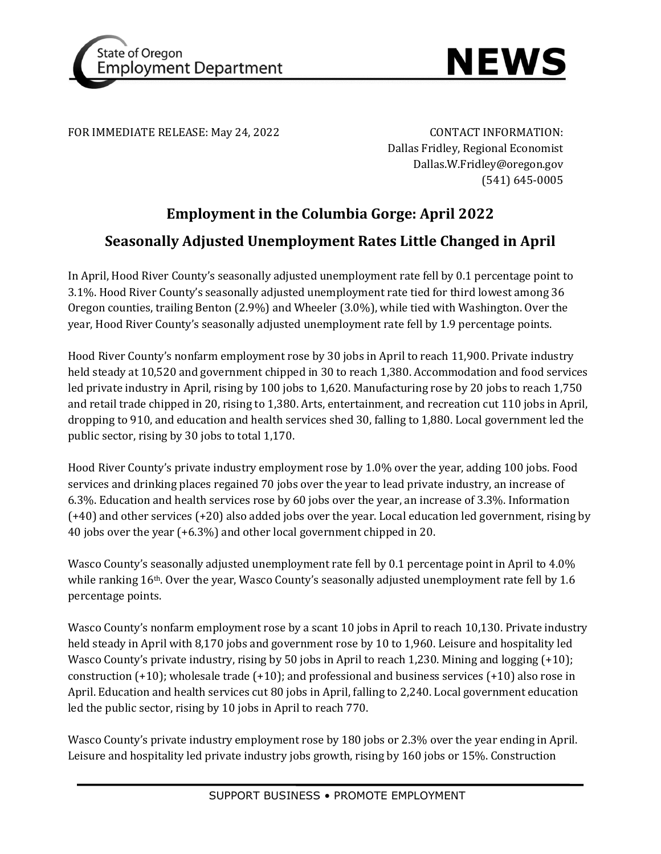



FOR IMMEDIATE RELEASE: May 24, 2022 CONTACT INFORMATION:

Dallas Fridley, Regional Economist Dallas.W.Fridley@oregon.gov (541) 645-0005

# **Employment in the Columbia Gorge: April 2022**

# **Seasonally Adjusted Unemployment Rates Little Changed in April**

In April, Hood River County's seasonally adjusted unemployment rate fell by 0.1 percentage point to 3.1%. Hood River County's seasonally adjusted unemployment rate tied for third lowest among 36 Oregon counties, trailing Benton (2.9%) and Wheeler (3.0%), while tied with Washington. Over the year, Hood River County's seasonally adjusted unemployment rate fell by 1.9 percentage points.

Hood River County's nonfarm employment rose by 30 jobs in April to reach 11,900. Private industry held steady at 10,520 and government chipped in 30 to reach 1,380. Accommodation and food services led private industry in April, rising by 100 jobs to 1,620. Manufacturing rose by 20 jobs to reach 1,750 and retail trade chipped in 20, rising to 1,380. Arts, entertainment, and recreation cut 110 jobs in April, dropping to 910, and education and health services shed 30, falling to 1,880. Local government led the public sector, rising by 30 jobs to total 1,170.

Hood River County's private industry employment rose by 1.0% over the year, adding 100 jobs. Food services and drinking places regained 70 jobs over the year to lead private industry, an increase of 6.3%. Education and health services rose by 60 jobs over the year, an increase of 3.3%. Information (+40) and other services (+20) also added jobs over the year. Local education led government, rising by 40 jobs over the year (+6.3%) and other local government chipped in 20.

Wasco County's seasonally adjusted unemployment rate fell by 0.1 percentage point in April to 4.0% while ranking  $16<sup>th</sup>$ . Over the year, Wasco County's seasonally adjusted unemployment rate fell by 1.6 percentage points.

Wasco County's nonfarm employment rose by a scant 10 jobs in April to reach 10,130. Private industry held steady in April with 8,170 jobs and government rose by 10 to 1,960. Leisure and hospitality led Wasco County's private industry, rising by 50 jobs in April to reach 1,230. Mining and logging  $(+10)$ ; construction (+10); wholesale trade (+10); and professional and business services (+10) also rose in April. Education and health services cut 80 jobs in April, falling to 2,240. Local government education led the public sector, rising by 10 jobs in April to reach 770.

Wasco County's private industry employment rose by 180 jobs or 2.3% over the year ending in April. Leisure and hospitality led private industry jobs growth, rising by 160 jobs or 15%. Construction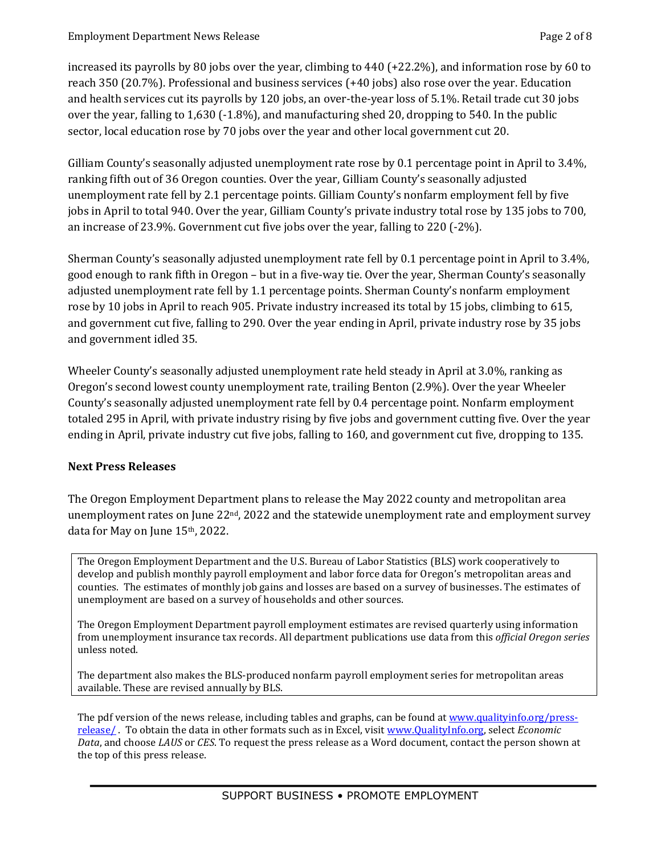increased its payrolls by 80 jobs over the year, climbing to 440 (+22.2%), and information rose by 60 to reach 350 (20.7%). Professional and business services (+40 jobs) also rose over the year. Education and health services cut its payrolls by 120 jobs, an over-the-year loss of 5.1%. Retail trade cut 30 jobs over the year, falling to 1,630 (-1.8%), and manufacturing shed 20, dropping to 540. In the public sector, local education rose by 70 jobs over the year and other local government cut 20.

Gilliam County's seasonally adjusted unemployment rate rose by 0.1 percentage point in April to 3.4%, ranking fifth out of 36 Oregon counties. Over the year, Gilliam County's seasonally adjusted unemployment rate fell by 2.1 percentage points. Gilliam County's nonfarm employment fell by five jobs in April to total 940. Over the year, Gilliam County's private industry total rose by 135 jobs to 700, an increase of 23.9%. Government cut five jobs over the year, falling to 220 (-2%).

Sherman County's seasonally adjusted unemployment rate fell by 0.1 percentage point in April to 3.4%, good enough to rank fifth in Oregon – but in a five-way tie. Over the year, Sherman County's seasonally adjusted unemployment rate fell by 1.1 percentage points. Sherman County's nonfarm employment rose by 10 jobs in April to reach 905. Private industry increased its total by 15 jobs, climbing to 615, and government cut five, falling to 290. Over the year ending in April, private industry rose by 35 jobs and government idled 35.

Wheeler County's seasonally adjusted unemployment rate held steady in April at 3.0%, ranking as Oregon's second lowest county unemployment rate, trailing Benton (2.9%). Over the year Wheeler County's seasonally adjusted unemployment rate fell by 0.4 percentage point. Nonfarm employment totaled 295 in April, with private industry rising by five jobs and government cutting five. Over the year ending in April, private industry cut five jobs, falling to 160, and government cut five, dropping to 135.

# **Next Press Releases**

The Oregon Employment Department plans to release the May 2022 county and metropolitan area unemployment rates on June  $22<sup>nd</sup>$ , 2022 and the statewide unemployment rate and employment survey data for May on June 15th, 2022.

The Oregon Employment Department and the U.S. Bureau of Labor Statistics (BLS) work cooperatively to develop and publish monthly payroll employment and labor force data for Oregon's metropolitan areas and counties. The estimates of monthly job gains and losses are based on a survey of businesses. The estimates of unemployment are based on a survey of households and other sources.

The Oregon Employment Department payroll employment estimates are revised quarterly using information from unemployment insurance tax records. All department publications use data from this *official Oregon series* unless noted.

The department also makes the BLS-produced nonfarm payroll employment series for metropolitan areas available. These are revised annually by BLS.

The pdf version of the news release, including tables and graphs, can be found a[t www.qualityinfo.org/press](http://www.qualityinfo.org/press-release/)[release/ .](http://www.qualityinfo.org/press-release/) To obtain the data in other formats such as in Excel, visit [www.QualityInfo.org,](http://www.qualityinfo.org/) select *Economic Data*, and choose *LAUS* or *CES*. To request the press release as a Word document, contact the person shown at the top of this press release.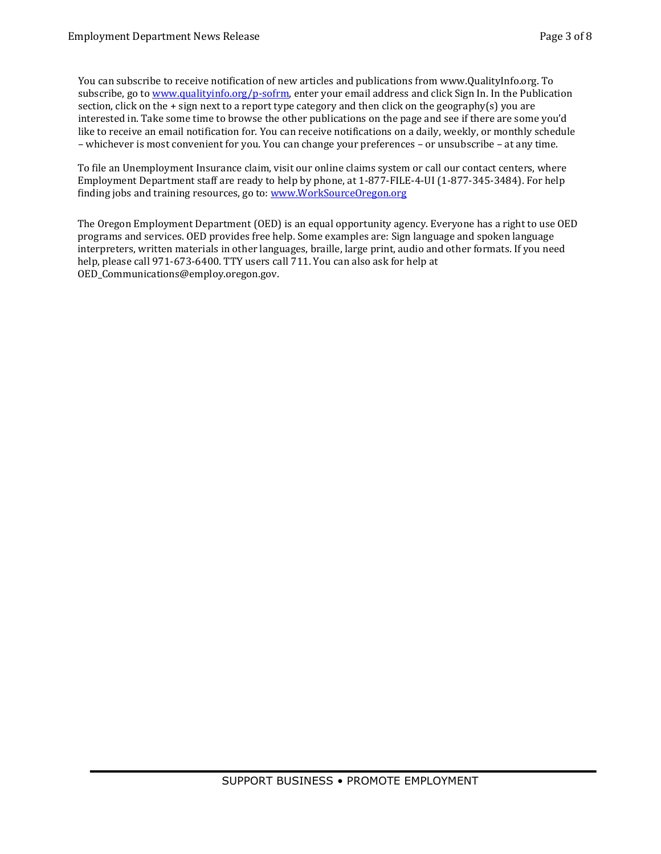You can subscribe to receive notification of new articles and publications from www.QualityInfo.org. To subscribe, go to [www.qualityinfo.org/p-sofrm,](http://www.qualityinfo.org/p-sofrm) enter your email address and click Sign In. In the Publication section, click on the + sign next to a report type category and then click on the geography(s) you are interested in. Take some time to browse the other publications on the page and see if there are some you'd like to receive an email notification for. You can receive notifications on a daily, weekly, or monthly schedule – whichever is most convenient for you. You can change your preferences – or unsubscribe – at any time.

To file an Unemployment Insurance claim, visit our online claims system or call our contact centers, where Employment Department staff are ready to help by phone, at 1-877-FILE-4-UI (1-877-345-3484). For help finding jobs and training resources, go to: [www.WorkSourceOregon.org](http://www.worksourceoregon.org/)

The Oregon Employment Department (OED) is an equal opportunity agency. Everyone has a right to use OED programs and services. OED provides free help. Some examples are: Sign language and spoken language interpreters, written materials in other languages, braille, large print, audio and other formats. If you need help, please call 971-673-6400. TTY users call 711. You can also ask for help at OED\_Communications@employ.oregon.gov.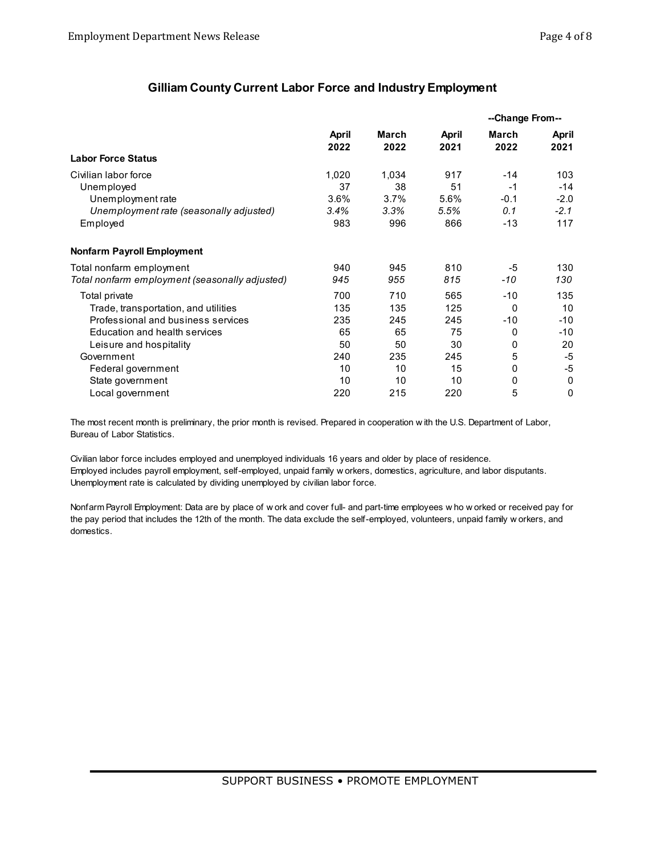#### **Gilliam County Current Labor Force and Industry Employment**

|                                                | April<br>2022 |               | April<br>2021 | --Change From-- |               |
|------------------------------------------------|---------------|---------------|---------------|-----------------|---------------|
|                                                |               | March<br>2022 |               | March<br>2022   | April<br>2021 |
| <b>Labor Force Status</b>                      |               |               |               |                 |               |
| Civilian labor force                           | 1,020         | 1,034         | 917           | $-14$           | 103           |
| Unemployed                                     | 37            | 38            | 51            | $-1$            | $-14$         |
| Unemployment rate                              | 3.6%          | 3.7%          | 5.6%          | $-0.1$          | $-2.0$        |
| Unemployment rate (seasonally adjusted)        | 3.4%          | 3.3%          | 5.5%          | 0.1             | $-2.1$        |
| Employed                                       | 983           | 996           | 866           | $-13$           | 117           |
| <b>Nonfarm Payroll Employment</b>              |               |               |               |                 |               |
| Total nonfarm employment                       | 940           | 945           | 810           | -5              | 130           |
| Total nonfarm employment (seasonally adjusted) | 945           | 955           | 815           | -10             | 130           |
| Total private                                  | 700           | 710           | 565           | -10             | 135           |
| Trade, transportation, and utilities           | 135           | 135           | 125           | $\Omega$        | 10            |
| Professional and business services             | 235           | 245           | 245           | -10             | $-10$         |
| Education and health services                  | 65            | 65            | 75            | 0               | -10           |
| Leisure and hospitality                        | 50            | 50            | 30            | 0               | 20            |
| Government                                     | 240           | 235           | 245           | 5               | -5            |
| Federal government                             | 10            | 10            | 15            | 0               | -5            |
| State government                               | 10            | 10            | 10            | 0               | 0             |
| Local government                               | 220           | 215           | 220           | 5               | 0             |

The most recent month is preliminary, the prior month is revised. Prepared in cooperation w ith the U.S. Department of Labor, Bureau of Labor Statistics.

Civilian labor force includes employed and unemployed individuals 16 years and older by place of residence. Employed includes payroll employment, self-employed, unpaid family w orkers, domestics, agriculture, and labor disputants. Unemployment rate is calculated by dividing unemployed by civilian labor force.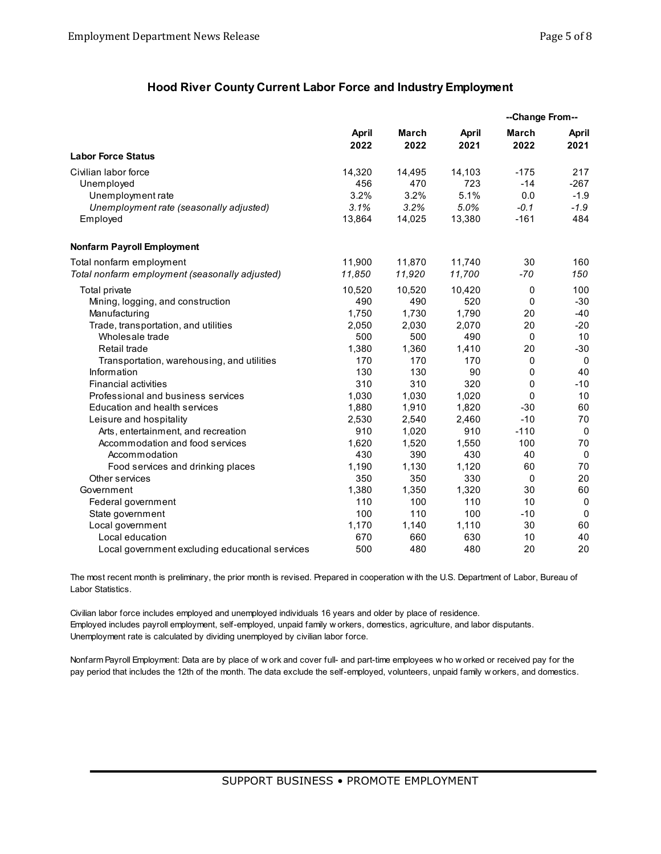#### **Hood River County Current Labor Force and Industry Employment**

|                                                 |                      |               |                      | --Change From--      |               |
|-------------------------------------------------|----------------------|---------------|----------------------|----------------------|---------------|
|                                                 | <b>April</b><br>2022 | March<br>2022 | <b>April</b><br>2021 | <b>March</b><br>2022 | April<br>2021 |
| <b>Labor Force Status</b>                       |                      |               |                      |                      |               |
| Civilian labor force                            | 14,320               | 14,495        | 14,103               | $-175$               | 217           |
| Unemployed                                      | 456                  | 470           | 723                  | $-14$                | $-267$        |
| Unemployment rate                               | 3.2%                 | 3.2%          | 5.1%                 | 0.0                  | $-1.9$        |
| Unemployment rate (seasonally adjusted)         | 3.1%                 | 3.2%          | 5.0%                 | $-0.1$               | $-1.9$        |
| Employed                                        | 13,864               | 14,025        | 13,380               | $-161$               | 484           |
| <b>Nonfarm Payroll Employment</b>               |                      |               |                      |                      |               |
| Total nonfarm employment                        | 11,900               | 11,870        | 11,740               | 30                   | 160           |
| Total nonfarm employment (seasonally adjusted)  | 11,850               | 11,920        | 11,700               | $-70$                | 150           |
| Total private                                   | 10,520               | 10,520        | 10,420               | 0                    | 100           |
| Mining, logging, and construction               | 490                  | 490           | 520                  | 0                    | $-30$         |
| Manufacturing                                   | 1,750                | 1,730         | 1,790                | 20                   | $-40$         |
| Trade, transportation, and utilities            | 2,050                | 2,030         | 2,070                | 20                   | $-20$         |
| Wholesale trade                                 | 500                  | 500           | 490                  | 0                    | 10            |
| Retail trade                                    | 1,380                | 1,360         | 1,410                | 20                   | $-30$         |
| Transportation, warehousing, and utilities      | 170                  | 170           | 170                  | 0                    | $\mathbf 0$   |
| Information                                     | 130                  | 130           | 90                   | 0                    | 40            |
| <b>Financial activities</b>                     | 310                  | 310           | 320                  | 0                    | $-10$         |
| Professional and business services              | 1,030                | 1,030         | 1,020                | 0                    | 10            |
| Education and health services                   | 1,880                | 1,910         | 1,820                | $-30$                | 60            |
| Leisure and hospitality                         | 2,530                | 2,540         | 2,460                | $-10$                | 70            |
| Arts, entertainment, and recreation             | 910                  | 1,020         | 910                  | $-110$               | $\mathbf 0$   |
| Accommodation and food services                 | 1,620                | 1,520         | 1,550                | 100                  | 70            |
| Accommodation                                   | 430                  | 390           | 430                  | 40                   | $\mathbf 0$   |
| Food services and drinking places               | 1,190                | 1,130         | 1,120                | 60                   | 70            |
| Other services                                  | 350                  | 350           | 330                  | 0                    | 20            |
| Government                                      | 1,380                | 1,350         | 1,320                | 30                   | 60            |
| Federal government                              | 110                  | 100           | 110                  | 10                   | 0             |
| State government                                | 100                  | 110           | 100                  | $-10$                | $\mathbf 0$   |
| Local government                                | 1,170                | 1,140         | 1,110                | 30                   | 60            |
| Local education                                 | 670                  | 660           | 630                  | 10                   | 40            |
| Local government excluding educational services | 500                  | 480           | 480                  | 20                   | 20            |

The most recent month is preliminary, the prior month is revised. Prepared in cooperation w ith the U.S. Department of Labor, Bureau of Labor Statistics.

Civilian labor force includes employed and unemployed individuals 16 years and older by place of residence. Employed includes payroll employment, self-employed, unpaid family w orkers, domestics, agriculture, and labor disputants. Unemployment rate is calculated by dividing unemployed by civilian labor force.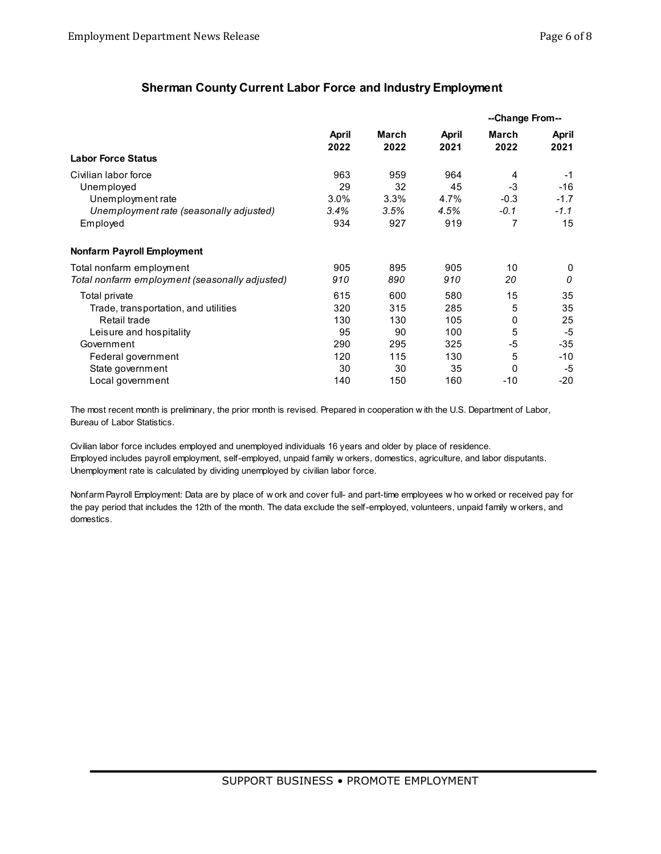## **Sherman County Current Labor Force and Industry Employment**

|                                                | April<br>2022 |               | April<br>2021 | --Change From-- |               |
|------------------------------------------------|---------------|---------------|---------------|-----------------|---------------|
|                                                |               | March<br>2022 |               | March<br>2022   | April<br>2021 |
| <b>Labor Force Status</b>                      |               |               |               |                 |               |
| Civilian labor force                           | 963           | 959           | 964           | 4               | $-1$          |
| Unemployed                                     | 29            | 32            | 45            | -3              | $-16$         |
| Unemployment rate                              | 3.0%          | 3.3%          | 4.7%          | $-0.3$          | $-1.7$        |
| Unemployment rate (seasonally adjusted)        | 3.4%          | 3.5%          | 4.5%          | $-0.1$          | $-1.1$        |
| Employed                                       | 934           | 927           | 919           | 7               | 15            |
| Nonfarm Payroll Employment                     |               |               |               |                 |               |
| Total nonfarm employment                       | 905           | 895           | 905           | 10              | 0             |
| Total nonfarm employment (seasonally adjusted) | 910           | 890           | 910           | 20              | 0             |
| Total private                                  | 615           | 600           | 580           | 15              | 35            |
| Trade, transportation, and utilities           | 320           | 315           | 285           | 5               | 35            |
| Retail trade                                   | 130           | 130           | 105           | 0               | 25            |
| Leisure and hospitality                        | 95            | 90            | 100           | 5               | $-5$          |
| Government                                     | 290           | 295           | 325           | -5              | $-35$         |
| Federal government                             | 120           | 115           | 130           | 5               | -10           |
| State government                               | 30            | 30            | 35            | 0               | -5            |
| Local government                               | 140           | 150           | 160           | $-10$           | $-20$         |

The most recent month is preliminary, the prior month is revised. Prepared in cooperation w ith the U.S. Department of Labor, Bureau of Labor Statistics.

Civilian labor force includes employed and unemployed individuals 16 years and older by place of residence. Employed includes payroll employment, self-employed, unpaid family w orkers, domestics, agriculture, and labor disputants. Unemployment rate is calculated by dividing unemployed by civilian labor force.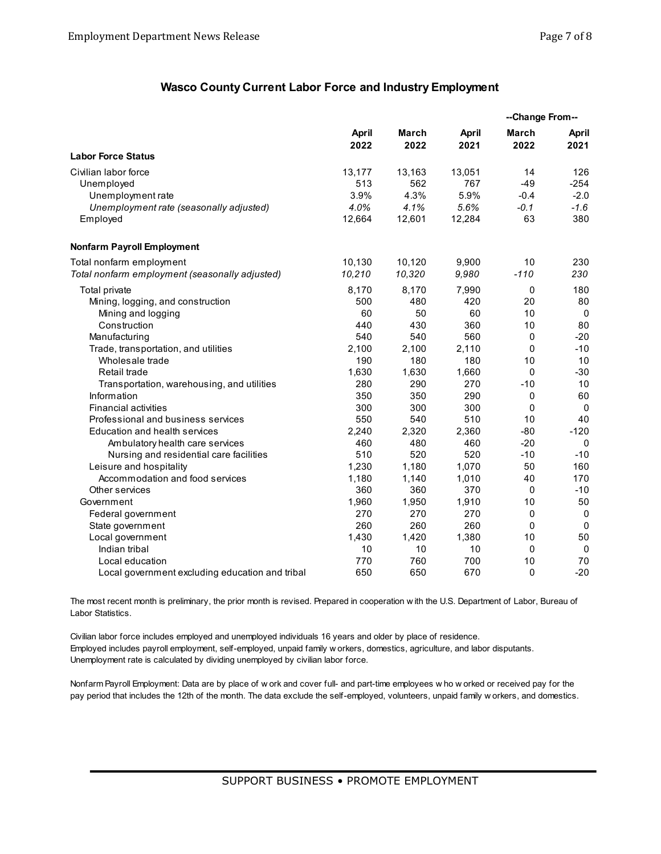#### **Wasco County Current Labor Force and Industry Employment**

|                                                 |                      |              |                      | --Change From--      |               |
|-------------------------------------------------|----------------------|--------------|----------------------|----------------------|---------------|
|                                                 | <b>April</b><br>2022 | <b>March</b> | <b>April</b><br>2021 | <b>March</b><br>2022 | April<br>2021 |
|                                                 |                      | 2022         |                      |                      |               |
| <b>Labor Force Status</b>                       |                      |              |                      |                      |               |
| Civilian labor force                            | 13,177               | 13,163       | 13,051               | 14                   | 126           |
| Unemployed                                      | 513                  | 562          | 767                  | $-49$                | $-254$        |
| Unemployment rate                               | 3.9%                 | 4.3%         | 5.9%                 | $-0.4$               | $-2.0$        |
| Unemployment rate (seasonally adjusted)         | 4.0%                 | 4.1%         | 5.6%                 | $-0.1$               | $-1.6$        |
| Employed                                        | 12,664               | 12,601       | 12,284               | 63                   | 380           |
| <b>Nonfarm Payroll Employment</b>               |                      |              |                      |                      |               |
| Total nonfarm employment                        | 10.130               | 10.120       | 9,900                | 10                   | 230           |
| Total nonfarm employment (seasonally adjusted)  | 10,210               | 10,320       | 9,980                | $-110$               | 230           |
| Total private                                   | 8,170                | 8,170        | 7,990                | 0                    | 180           |
| Mining, logging, and construction               | 500                  | 480          | 420                  | 20                   | 80            |
| Mining and logging                              | 60                   | 50           | 60                   | 10                   | $\mathbf 0$   |
| Construction                                    | 440                  | 430          | 360                  | 10                   | 80            |
| Manufacturing                                   | 540                  | 540          | 560                  | 0                    | $-20$         |
| Trade, transportation, and utilities            | 2,100                | 2,100        | 2,110                | 0                    | $-10$         |
| Wholesale trade                                 | 190                  | 180          | 180                  | 10                   | 10            |
| Retail trade                                    | 1,630                | 1,630        | 1,660                | 0                    | $-30$         |
| Transportation, warehousing, and utilities      | 280                  | 290          | 270                  | $-10$                | 10            |
| Information                                     | 350                  | 350          | 290                  | 0                    | 60            |
| <b>Financial activities</b>                     | 300                  | 300          | 300                  | $\mathbf{0}$         | $\Omega$      |
| Professional and business services              | 550                  | 540          | 510                  | 10                   | 40            |
| Education and health services                   | 2,240                | 2,320        | 2,360                | $-80$                | $-120$        |
| Ambulatory health care services                 | 460                  | 480          | 460                  | $-20$                | $\Omega$      |
| Nursing and residential care facilities         | 510                  | 520          | 520                  | $-10$                | $-10$         |
| Leisure and hospitality                         | 1,230                | 1,180        | 1,070                | 50                   | 160           |
| Accommodation and food services                 | 1,180                | 1,140        | 1,010                | 40                   | 170           |
| Other services                                  | 360                  | 360          | 370                  | 0                    | $-10$         |
| Government                                      | 1,960                | 1,950        | 1,910                | 10                   | 50            |
| Federal government                              | 270                  | 270          | 270                  | 0                    | $\mathbf 0$   |
| State government                                | 260                  | 260          | 260                  | 0                    | $\mathbf 0$   |
| Local government                                | 1,430                | 1,420        | 1,380                | 10                   | 50            |
| Indian tribal                                   | 10                   | 10           | 10                   | 0                    | 0             |
| Local education                                 | 770                  | 760          | 700                  | 10                   | 70            |
| Local government excluding education and tribal | 650                  | 650          | 670                  | 0                    | $-20$         |

The most recent month is preliminary, the prior month is revised. Prepared in cooperation w ith the U.S. Department of Labor, Bureau of Labor Statistics.

Civilian labor force includes employed and unemployed individuals 16 years and older by place of residence. Employed includes payroll employment, self-employed, unpaid family w orkers, domestics, agriculture, and labor disputants. Unemployment rate is calculated by dividing unemployed by civilian labor force.